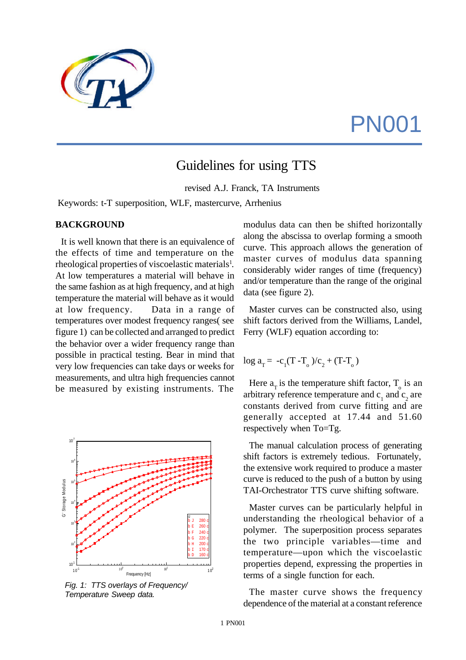# PN001

# Guidelines for using TTS

revised A.J. Franck, TA Instruments

Keywords: t-T superposition, WLF, mastercurve, Arrhenius

#### **BACKGROUND**

It is well known that there is an equivalence of the effects of time and temperature on the rheological properties of viscoelastic materials<sup>1</sup>. At low temperatures a material will behave in the same fashion as at high frequency, and at high temperature the material will behave as it would at low frequency. Data in a range of temperatures over modest frequency ranges( see figure 1) can be collected and arranged to predict the behavior over a wider frequency range than possible in practical testing. Bear in mind that very low frequencies can take days or weeks for measurements, and ultra high frequencies cannot be measured by existing instruments. The



*Fig. 1: TTS overlays of Frequency/ Temperature Sweep data.*

modulus data can then be shifted horizontally along the abscissa to overlap forming a smooth curve. This approach allows the generation of master curves of modulus data spanning considerably wider ranges of time (frequency) and/or temperature than the range of the original data (see figure 2).

Master curves can be constructed also, using shift factors derived from the Williams, Landel, Ferry (WLF) equation according to:

$$
\log a_{T} = -c_{1}(T - T_{o})/c_{2} + (T - T_{o})
$$

Here  $a_T$  is the temperature shift factor,  $T_0$  is an arbitrary reference temperature and  $c_1$  and  $c_2$  are constants derived from curve fitting and are generally accepted at 17.44 and 51.60 respectively when To=Tg.

The manual calculation process of generating shift factors is extremely tedious. Fortunately, the extensive work required to produce a master curve is reduced to the push of a button by using TAI-Orchestrator TTS curve shifting software.

Master curves can be particularly helpful in understanding the rheological behavior of a polymer. The superposition process separates the two principle variables—time and temperature—upon which the viscoelastic properties depend, expressing the properties in terms of a single function for each.

The master curve shows the frequency dependence of the material at a constant reference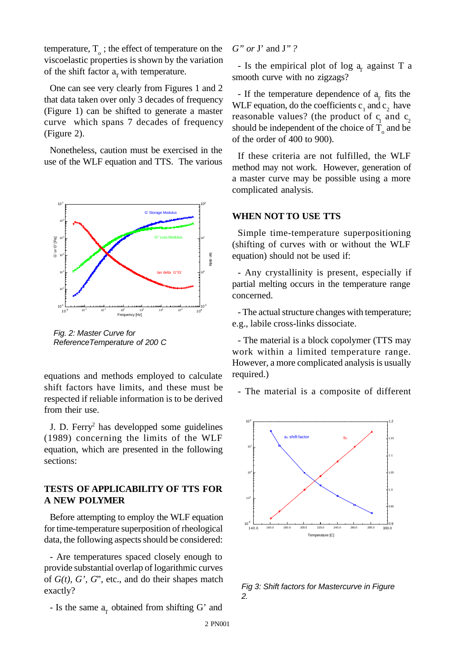temperature,  $T_{o}$ ; the effect of temperature on the viscoelastic properties is shown by the variation of the shift factor  $a<sub>r</sub>$  with temperature.

One can see very clearly from Figures 1 and 2 that data taken over only 3 decades of frequency (Figure 1) can be shifted to generate a master curve which spans 7 decades of frequency (Figure 2).

Nonetheless, caution must be exercised in the use of the WLF equation and TTS. The various



*Fig. 2: Master Curve for ReferenceTemperature of 200 C*

equations and methods employed to calculate shift factors have limits, and these must be respected if reliable information is to be derived from their use.

J. D. Ferry<sup>2</sup> has developped some guidelines (1989) concerning the limits of the WLF equation, which are presented in the following sections:

#### **TESTS OF APPLICABILITY OF TTS FOR A NEW POLYMER**

Before attempting to employ the WLF equation for time-temperature superposition of rheological data, the following aspects should be considered:

- Are temperatures spaced closely enough to provide substantial overlap of logarithmic curves of *G(t), G', G*", etc., and do their shapes match exactly?

- Is the same  $a_T$  obtained from shifting G' and

*G" or* J' and J*" ?*

- Is the empirical plot of log  $a<sub>r</sub>$  against T a smooth curve with no zigzags?

- If the temperature dependence of  $a_T$  fits the WLF equation, do the coefficients  $c_1$  and  $c_2$  have reasonable values? (the product of  $c_1$  and  $c_2$ should be independent of the choice of  $T_{o}$  and be of the order of 400 to 900).

If these criteria are not fulfilled, the WLF method may not work. However, generation of a master curve may be possible using a more complicated analysis.

#### **WHEN NOT TO USE TTS**

Simple time-temperature superpositioning (shifting of curves with or without the WLF equation) should not be used if:

- Any crystallinity is present, especially if partial melting occurs in the temperature range concerned.

- The actual structure changes with temperature; e.g., labile cross-links dissociate.

- The material is a block copolymer (TTS may work within a limited temperature range. However, a more complicated analysis is usually required.)

- The material is a composite of different



*Fig 3: Shift factors for Mastercurve in Figure 2.*